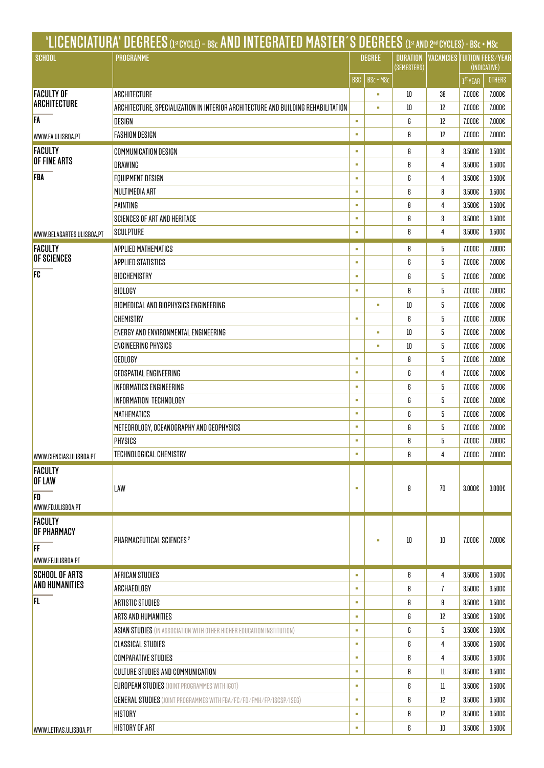|                                                          | 'LICENCIATURA' DEGREES (1st cycle) - BSc AND INTEGRATED MASTER'S DEGREES (1st and 2nd cycles) - BSc + MSc |               |           |                                |                |                                                    |               |
|----------------------------------------------------------|-----------------------------------------------------------------------------------------------------------|---------------|-----------|--------------------------------|----------------|----------------------------------------------------|---------------|
| <b>SCHOOL</b>                                            | PROGRAMME                                                                                                 | <b>DEGREE</b> |           | <b>DURATION</b><br>(SEMESTERS) |                | <b>VACANCIES TUITION FEES/YEAR</b><br>(INDICATIVE) |               |
|                                                          |                                                                                                           | BSC           | BSc + MSc |                                |                | 1 <sup>st</sup> YEAR                               | <b>OTHERS</b> |
| <b>FACULTY OF</b>                                        | ARCHITECTURE                                                                                              |               |           | 10                             | 38             | 7.000€                                             | 7.000€        |
| ARCHITECTURE                                             | ARCHITECTURE. SPECIALIZATION IN INTERIOR ARCHITECTURE AND BUILDING REHABILITATION                         |               |           | 10                             | 12             | 7.000€                                             | 7.000€        |
| <b>FA</b>                                                | DESIGN                                                                                                    | ٠             |           | 6                              | 12             | 7.000€                                             | 7.000€        |
| WWW.FA.ULISBOA.PT                                        | <b>FASHION DESIGN</b>                                                                                     | ٠             |           | 6                              | 12             | 7.000€                                             | 7.000€        |
| <b>FACULTY</b>                                           | COMMUNICATION DESIGN                                                                                      | ٠             |           | 6                              | 8              | 3.500€                                             | 3.500€        |
| OF FINE ARTS                                             | DRAWING                                                                                                   | ×             |           | 6                              | 4              | 3.500€                                             | 3.500€        |
| <b>FBA</b>                                               | EQUIPMENT DESIGN                                                                                          | ×             |           | 6                              | 4              | 3.500€                                             | 3.500€        |
|                                                          | MULTIMEDIA ART                                                                                            | ٠             |           | 6                              | 8              | 3.500€                                             | 3.500€        |
|                                                          | PAINTING                                                                                                  | ٠             |           | 8                              | 4              | 3.500€                                             | 3.500€        |
|                                                          | <b>SCIENCES OF ART AND HERITAGE</b>                                                                       | ٠             |           | 6                              | 3              | 3.500€                                             | 3.500€        |
| WWW.BELASARTES.ULISBOA.PT                                | <b>SCULPTURE</b>                                                                                          | ٠             |           | 6                              | 4              | 3.500€                                             | 3.500€        |
| <b>FACULTY</b>                                           | APPLIED MATHEMATICS                                                                                       | ×             |           | 6                              | 5              | 7.000€                                             | 7.000€        |
| OF SCIENCES                                              | APPLIED STATISTICS                                                                                        | ×             |           | 6                              | 5              | 7.000€                                             | 7.000€        |
| FC                                                       | BIOCHEMISTRY                                                                                              | ٠             |           | 6                              | 5              | 7.000€                                             | 7.000€        |
|                                                          | <b>BIOLOGY</b>                                                                                            | ×             |           | 6                              | 5              | 7.000€                                             | 7.000€        |
|                                                          | BIOMEDICAL AND BIOPHYSICS ENGINEERING                                                                     |               |           | 10                             | 5              | 7.000€                                             | 7.000€        |
|                                                          | CHEMISTRY                                                                                                 | ٠             |           | 6                              | 5              | 7.000€                                             | 7.000€        |
|                                                          | ENERGY AND ENVIRONMENTAL ENGINEERING                                                                      |               | ×         | 10                             | 5              | 7.000€                                             | 7.000€        |
|                                                          | ENGINEERING PHYSICS                                                                                       |               |           | 10                             | 5              | 7.000€                                             | 7.000€        |
|                                                          | GEOLOGY                                                                                                   | ×             |           | 8                              | 5              | 7.000€                                             | 7.000€        |
|                                                          | GEOSPATIAL ENGINEERING                                                                                    | ×             |           | 6                              | 4              | 7.000€                                             | 7.000€        |
|                                                          | <b>INFORMATICS ENGINEERING</b>                                                                            | ٠             |           | 6                              | 5              | 7.000€                                             | 7.000€        |
|                                                          | INFORMATION TECHNOLOGY                                                                                    | ×             |           | 6                              | 5              | 7.000€                                             | 7.000€        |
|                                                          | MATHEMATICS                                                                                               | ×             |           | 6                              | 5              | 7.000€                                             | 7.000€        |
|                                                          | METEOROLOGY, OCEANOGRAPHY AND GEOPHYSICS                                                                  | ×             |           | 6                              | 5              | 7.000€                                             | 7.000€        |
|                                                          | PHYSICS                                                                                                   | ×             |           | 6                              | 5              | 7.000€                                             | 7.000€        |
| WWW.CIENCIAS.ULISBOA.PT                                  | TECHNOLOGICAL CHEMISTRY                                                                                   | ×             |           | 6                              | 4              | 7.000€                                             | 7.000€        |
| <b>FACULTY</b><br>OF LAW                                 | LAW                                                                                                       | ٠             |           | 8                              | 70             | 3.000€                                             | 3.000€        |
| FD                                                       |                                                                                                           |               |           |                                |                |                                                    |               |
| WWW.FD.ULISBOA.PT                                        |                                                                                                           |               |           |                                |                |                                                    |               |
| <b>FACULTY</b><br>OF PHARMACY<br>IF<br>WWW.FF.ULISBOA.PT | PHARMACEUTICAL SCIENCES <sup>2</sup>                                                                      |               |           | 10                             | 10             | 7.000E                                             | 7.000€        |
| <b>SCHOOL OF ARTS</b>                                    | AFRICAN STUDIES                                                                                           | à,            |           | 6                              | 4              | 3.500€                                             | 3.500€        |
| <b>AND HUMANITIES</b>                                    | ARCHAEOLOGY                                                                                               | ٠             |           | 6                              | $\overline{1}$ | 3.500€                                             | 3.500€        |
| FL.                                                      | ARTISTIC STUDIES                                                                                          | ٠             |           | 6                              | 9              | 3.500€                                             | 3.500€        |
|                                                          | ARTS AND HUMANITIES                                                                                       | ä,            |           | 6                              | 12             | 3.500€                                             | 3.500€        |
|                                                          | <b>ASIAN STUDIES</b> (IN ASSOCIATION WITH OTHER HIGHER EDUCATION INSTITUTION)                             | ä,            |           | 6                              | 5              | 3.500€                                             | 3.500€        |
|                                                          | CLASSICAL STUDIES                                                                                         | ٠             |           | 6                              | 4              | 3.500€                                             | 3.500€        |
|                                                          | <b>COMPARATIVE STUDIES</b>                                                                                | ٠             |           | 6                              | 4              | 3.500€                                             | 3.500€        |
|                                                          | CULTURE STUDIES AND COMMUNICATION                                                                         | ٠             |           | 6                              | ll             | 3.500€                                             | 3.500€        |
|                                                          | <b>EUROPEAN STUDIES (JOINT PROGRAMMES WITH IGOT)</b>                                                      | ä             |           | 6                              | $_{\rm ll}$    | 3.500€                                             | 3.500€        |
|                                                          | <b>GENERAL STUDIES</b> (JOINT PROGRAMMES WITH FBA/FC/FD/FMH/FP/ISCSP/ISEG)                                | ٠             |           | 6                              | 12             | 3.500€                                             | 3.500€        |
|                                                          | HISTORY                                                                                                   | ×             |           | 6                              | 12             | 3.500€                                             | 3.500€        |
| WWW.LETRAS.ULISBOA.PT                                    | HISTORY OF ART                                                                                            | a,            |           | 6                              | 10             | 3.500€                                             | 3.500€        |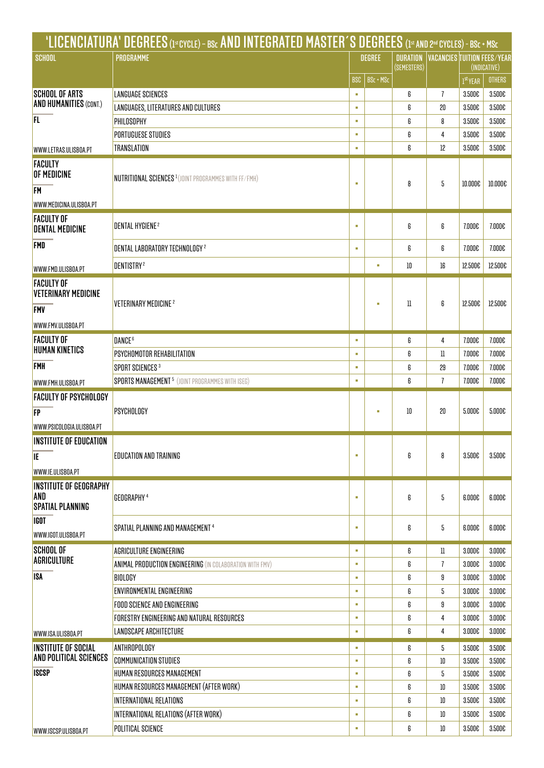|                                                      | 'LICENCIATURA' DEGREES (1st cycle) - BSc AND INTEGRATED MASTER'S DEGREES (1st and 2nd cycles) - BSc + MSc |                         |   |                 |                |                                                       |         |
|------------------------------------------------------|-----------------------------------------------------------------------------------------------------------|-------------------------|---|-----------------|----------------|-------------------------------------------------------|---------|
| <b>SCHOOL</b>                                        | PROGRAMME                                                                                                 | <b>DEGREE</b>           |   | <b>DURATION</b> |                | <b>VACANCIES TUITION FEES/YEAR</b>                    |         |
|                                                      |                                                                                                           | <b>BSC</b><br>BSc + MSc |   | (SEMESTERS)     |                | (INDICATIVE)<br><b>OTHERS</b><br>1 <sup>st</sup> YEAR |         |
| <b>SCHOOL OF ARTS</b>                                | <b>LANGUAGE SCIENCES</b>                                                                                  | ×                       |   | 6               | $\overline{1}$ | 3.500€                                                | 3.500€  |
| <b>AND HUMANITIES (CONT.)</b>                        | LANGUAGES, LITERATURES AND CULTURES                                                                       | ×                       |   | 6               | 20             | 3.500€                                                | 3.500€  |
| FL.                                                  | PHILOSOPHY                                                                                                | ×                       |   | 6               | 8              | 3.500€                                                | 3.500€  |
|                                                      | PORTUGUESE STUDIES                                                                                        | ٠                       |   | 6               | 4              | 3.500€                                                | 3.500€  |
| WWW.LETRAS.ULISBOA.PT                                | TRANSLATION                                                                                               | ٠                       |   | 6               | 12             | 3.500€                                                | 3.500E  |
| <b>FACULTY</b>                                       |                                                                                                           |                         |   |                 |                |                                                       |         |
| OF MEDICINE                                          | <b>NUTRITIONAL SCIENCES<sup>1</sup>(JOINT PROGRAMMES WITH FF/FMH)</b>                                     |                         |   |                 |                |                                                       |         |
| <b>FM</b>                                            |                                                                                                           | ٠                       |   | 8               | 5              | 10.000€                                               | 10.000€ |
| WWW.MEDICINA.ULISBOA.PT                              |                                                                                                           |                         |   |                 |                |                                                       |         |
| <b>FACULTY OF</b>                                    | DENTAL HYGIENE <sup>2</sup>                                                                               | ٠                       |   | 6               | 6              | 7.000€                                                | 7.000€  |
| <b>DENTAL MEDICINE</b>                               |                                                                                                           |                         |   |                 |                |                                                       |         |
| <b>FMD</b>                                           | DENTAL LABORATORY TECHNOLOGY <sup>2</sup>                                                                 | ٠                       |   | 6               | 6              | 7.000€                                                | 7.000€  |
| WWW.FMD.ULISBOA.PT                                   | DENTISTRY <sup>2</sup>                                                                                    |                         | ٠ | 10              | 16             | 12.500€                                               | 12.500€ |
| <b>FACULTY OF</b>                                    |                                                                                                           |                         |   |                 |                |                                                       |         |
| <b>VETERINARY MEDICINE</b>                           |                                                                                                           |                         |   |                 |                |                                                       |         |
| <b>FMV</b>                                           | VETERINARY MEDICINE <sup>2</sup>                                                                          |                         | ٠ | 11              | 6              | 12.500€                                               | 12.500€ |
| WWW.FMV.ULISBOA.PT                                   |                                                                                                           |                         |   |                 |                |                                                       |         |
| <b>FACULTY OF</b>                                    | DANCE <sup>6</sup>                                                                                        | ٠                       |   | 6               | 4              | 7.000€                                                | 7.000€  |
| <b>HUMAN KINETICS</b>                                | PSYCHOMOTOR REHABILITATION                                                                                | ٠                       |   | 6               | ll             | 7.000€                                                | 7.000€  |
| <b>FMH</b>                                           | SPORT SCIENCES <sup>3</sup>                                                                               | ٠                       |   | 6               | 29             | 7.000€                                                | 7.000€  |
| WWW.FMH.ULISBOA.PT                                   | <b>SPORTS MANAGEMENT<sup>5</sup></b> (JOINT PROGRAMMES WITH ISEG)                                         | ٠                       |   | 6               | $\overline{1}$ | 7.000€                                                | 7.000€  |
| <b>FACULTY OF PSYCHOLOGY</b>                         |                                                                                                           |                         |   |                 |                |                                                       |         |
| FP                                                   | PSYCHOLOGY                                                                                                |                         |   | 10              | 20             | 5.000€                                                | 5.000€  |
| WWW.PSICOLOGIA.ULISBOA.PT                            |                                                                                                           |                         |   |                 |                |                                                       |         |
| INSTITUTE OF EDUCATION                               |                                                                                                           |                         |   |                 |                |                                                       |         |
| IE                                                   | <b>EDUCATION AND TRAINING</b>                                                                             | ٠                       |   | 6               | 8              | 3.500€                                                | 3.500€  |
| WWW.IE.ULISBOA.PT                                    |                                                                                                           |                         |   |                 |                |                                                       |         |
| <b>INSTITUTE OF GEOGRAPHY</b>                        |                                                                                                           |                         |   |                 |                |                                                       |         |
| AND                                                  | GEOGRAPHY <sup>4</sup>                                                                                    | ٠                       |   | 6               | 5              | 6.000€                                                | 6.000€  |
| <b>SPATIAL PLANNING</b>                              |                                                                                                           |                         |   |                 |                |                                                       |         |
| <b>IGOT</b>                                          | SPATIAL PLANNING AND MANAGEMENT 4                                                                         | ٠                       |   | 6               | 5              | 6.000€                                                | 6.000€  |
| WWW.IGOT.ULISBOA.PT                                  |                                                                                                           |                         |   |                 |                |                                                       |         |
| <b>SCHOOL OF</b>                                     | AGRICULTURE ENGINEERING                                                                                   | à,                      |   | 6               | ll             | 3.000€                                                | 3.000€  |
| AGRICULTURE                                          | <b>ANIMAL PRODUCTION ENGINEERING</b> (IN COLABORATION WITH FMV)                                           | ٠                       |   | 6               | 7              | 3.000€                                                | 3.000€  |
| ISA                                                  | BIOLOGY                                                                                                   | ٠                       |   | 6               | 9              | 3.000€                                                | 3.000€  |
|                                                      | ENVIRONMENTAL ENGINEERING                                                                                 | a,                      |   | 6               | 5              | 3.000€                                                | 3.000€  |
|                                                      | FOOD SCIENCE AND ENGINEERING                                                                              | a,                      |   | 6               | 9              | 3.000€                                                | 3.000€  |
|                                                      | FORESTRY ENGINEERING AND NATURAL RESOURCES                                                                | a,                      |   | 6               | 4              | 3.000€                                                | 3.000€  |
| WWW.ISA.ULISBOA.PT                                   | <b>LANDSCAPE ARCHITECTURE</b>                                                                             | ٠                       |   | 6               | 4              | 3.000€                                                | 3.000€  |
| <b>INSTITUTE OF SOCIAL</b><br>AND POLITICAL SCIENCES | ANTHROPOLOGY                                                                                              | ٠                       |   | 6               | 5              | 3.500€                                                | 3.500€  |
|                                                      | <b>COMMUNICATION STUDIES</b>                                                                              | ٠                       |   | 6               | 10             | 3.500€                                                | 3.500€  |
| <b>ISCSP</b>                                         | HUMAN RESOURCES MANAGEMENT                                                                                | ٠                       |   | 6               | 5              | 3.500€                                                | 3.500€  |
|                                                      | HUMAN RESOURCES MANAGEMENT (AFTER WORK)                                                                   | ٠<br>٠                  |   | 6               | 10             | 3.500€                                                | 3.500€  |
|                                                      | INTERNATIONAL RELATIONS                                                                                   | ä,                      |   | 6               | 10             | 3.500€                                                | 3.500€  |
|                                                      | INTERNATIONAL RELATIONS (AFTER WORK)                                                                      |                         |   | 6               | 10             | 3.500€                                                | 3.500€  |
| WWW.ISCSP.ULISBOA.PT                                 | POLITICAL SCIENCE                                                                                         | à,                      |   | 6               | 10             | 3.500€                                                | 3.500€  |